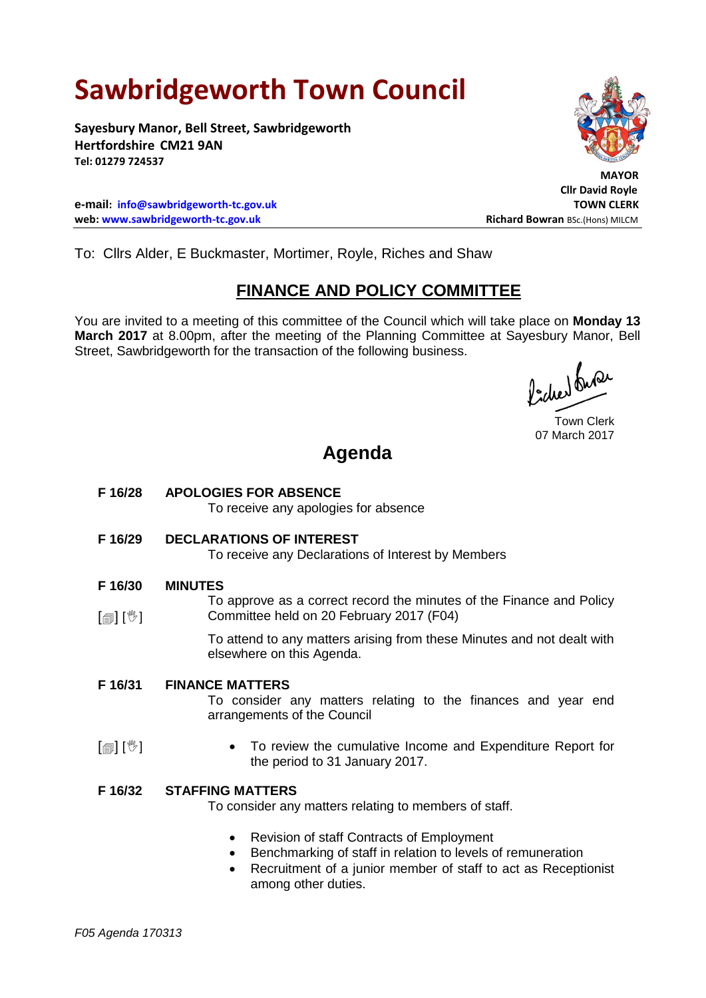## **Sawbridgeworth Town Council**

**Sayesbury Manor, Bell Street, Sawbridgeworth Hertfordshire CM21 9AN Tel: 01279 724537**

**e-mail: [info@sawbridgeworth-tc.gov.uk](mailto:info@sawbridgeworth-tc.gov.uk) TOWN CLERK web: www.sawbridgeworth-tc.gov.uk Richard Bowran BSc.(Hons) MILCM Richard Bowran BSc.(Hons) MILCM** 

To: Cllrs Alder, E Buckmaster, Mortimer, Royle, Riches and Shaw

## **FINANCE AND POLICY COMMITTEE**

You are invited to a meeting of this committee of the Council which will take place on **Monday 13 March 2017** at 8.00pm, after the meeting of the Planning Committee at Sayesbury Manor, Bell Street, Sawbridgeworth for the transaction of the following business.

fideed fune

Town Clerk 07 March 2017

## **Agenda**

- **F 16/28 APOLOGIES FOR ABSENCE** To receive any apologies for absence
- **F 16/29 DECLARATIONS OF INTEREST**

To receive any Declarations of Interest by Members

- **F 16/30 MINUTES**
- $\lceil$   $\blacksquare$   $\rceil$   $\lceil$   $\mathbb{V}$   $\rceil$ To approve as a correct record the minutes of the Finance and Policy Committee held on 20 February 2017 (F04)

To attend to any matters arising from these Minutes and not dealt with elsewhere on this Agenda.

**F 16/31 FINANCE MATTERS**

To consider any matters relating to the finances and year end arrangements of the Council

- $\mathbb{E}$   $\mathbb{E}$  To review the cumulative Income and Expenditure Report for the period to 31 January 2017.
- **F 16/32 STAFFING MATTERS**

To consider any matters relating to members of staff.

- Revision of staff Contracts of Employment
- Benchmarking of staff in relation to levels of remuneration
- Recruitment of a junior member of staff to act as Receptionist among other duties.



 **MAYOR Cllr David Royle**